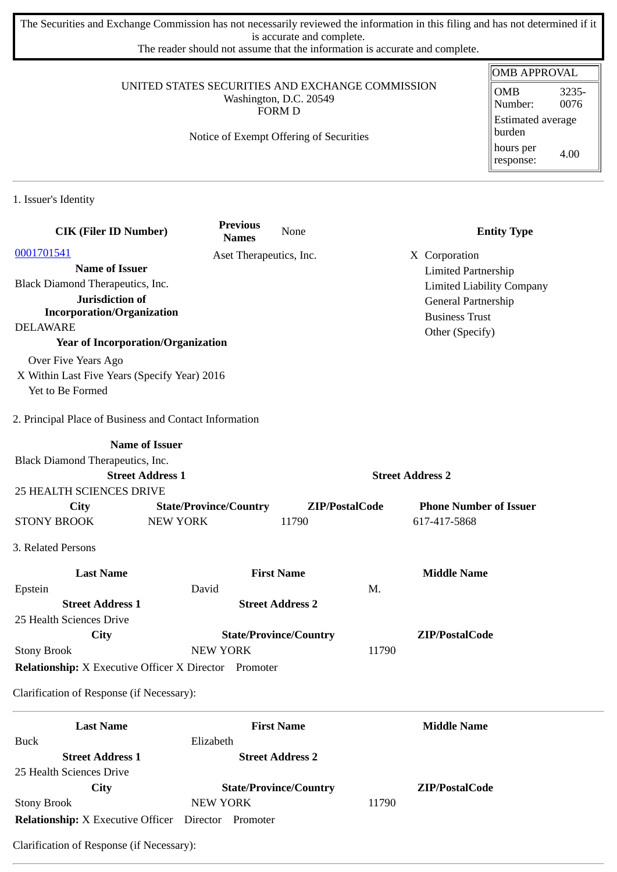The Securities and Exchange Commission has not necessarily reviewed the information in this filing and has not determined if it is accurate and complete.

The reader should not assume that the information is accurate and complete.

### UNITED STATES SECURITIES AND EXCHANGE COMMISSION Washington, D.C. 20549 FORM D

## Notice of Exempt Offering of Securities

| OMB APPROVAL                       |               |  |
|------------------------------------|---------------|--|
| <b>OMB</b><br>Number:              | 3235-<br>0076 |  |
| <b>Estimated average</b><br>burden |               |  |
| hours per<br>response:             | 4.00          |  |

1. Issuer's Identity

| <b>CIK (Filer ID Number)</b>                                 | <b>Previous</b><br><b>Names</b> | None                          |                         | <b>Entity Type</b>               |
|--------------------------------------------------------------|---------------------------------|-------------------------------|-------------------------|----------------------------------|
| 0001701541                                                   |                                 | Aset Therapeutics, Inc.       | X Corporation           |                                  |
| <b>Name of Issuer</b>                                        |                                 |                               |                         | <b>Limited Partnership</b>       |
| Black Diamond Therapeutics, Inc.                             |                                 |                               |                         | <b>Limited Liability Company</b> |
| Jurisdiction of                                              |                                 |                               |                         | General Partnership              |
| <b>Incorporation/Organization</b>                            |                                 |                               | <b>Business Trust</b>   |                                  |
| <b>DELAWARE</b>                                              |                                 |                               | Other (Specify)         |                                  |
| <b>Year of Incorporation/Organization</b>                    |                                 |                               |                         |                                  |
| Over Five Years Ago                                          |                                 |                               |                         |                                  |
| X Within Last Five Years (Specify Year) 2016                 |                                 |                               |                         |                                  |
| Yet to Be Formed                                             |                                 |                               |                         |                                  |
| 2. Principal Place of Business and Contact Information       |                                 |                               |                         |                                  |
| <b>Name of Issuer</b>                                        |                                 |                               |                         |                                  |
| Black Diamond Therapeutics, Inc.                             |                                 |                               |                         |                                  |
| <b>Street Address 1</b>                                      |                                 |                               | <b>Street Address 2</b> |                                  |
| <b>25 HEALTH SCIENCES DRIVE</b>                              |                                 |                               |                         |                                  |
| <b>City</b>                                                  | <b>State/Province/Country</b>   | ZIP/PostalCode                |                         | <b>Phone Number of Issuer</b>    |
| <b>STONY BROOK</b>                                           | <b>NEW YORK</b>                 | 11790                         | 617-417-5868            |                                  |
| 3. Related Persons                                           |                                 |                               |                         |                                  |
| <b>Last Name</b>                                             |                                 | <b>First Name</b>             | <b>Middle Name</b>      |                                  |
| Epstein                                                      | David                           |                               | M.                      |                                  |
| <b>Street Address 1</b>                                      |                                 | <b>Street Address 2</b>       |                         |                                  |
| 25 Health Sciences Drive                                     |                                 |                               |                         |                                  |
| City                                                         |                                 | <b>State/Province/Country</b> | ZIP/PostalCode          |                                  |
| <b>Stony Brook</b>                                           | <b>NEW YORK</b>                 |                               | 11790                   |                                  |
| <b>Relationship:</b> X Executive Officer X Director Promoter |                                 |                               |                         |                                  |
| Clarification of Response (if Necessary):                    |                                 |                               |                         |                                  |
| <b>Last Name</b>                                             |                                 | <b>First Name</b>             | <b>Middle Name</b>      |                                  |
| <b>Buck</b>                                                  | Elizabeth                       |                               |                         |                                  |
| <b>Street Address 1</b>                                      |                                 | <b>Street Address 2</b>       |                         |                                  |
| 25 Health Sciences Drive                                     |                                 |                               |                         |                                  |
| City                                                         |                                 | <b>State/Province/Country</b> | ZIP/PostalCode          |                                  |
| <b>Stony Brook</b>                                           | NEW YORK                        |                               | 11790                   |                                  |
| <b>Relationship:</b> X Executive Officer Director Promoter   |                                 |                               |                         |                                  |

Clarification of Response (if Necessary):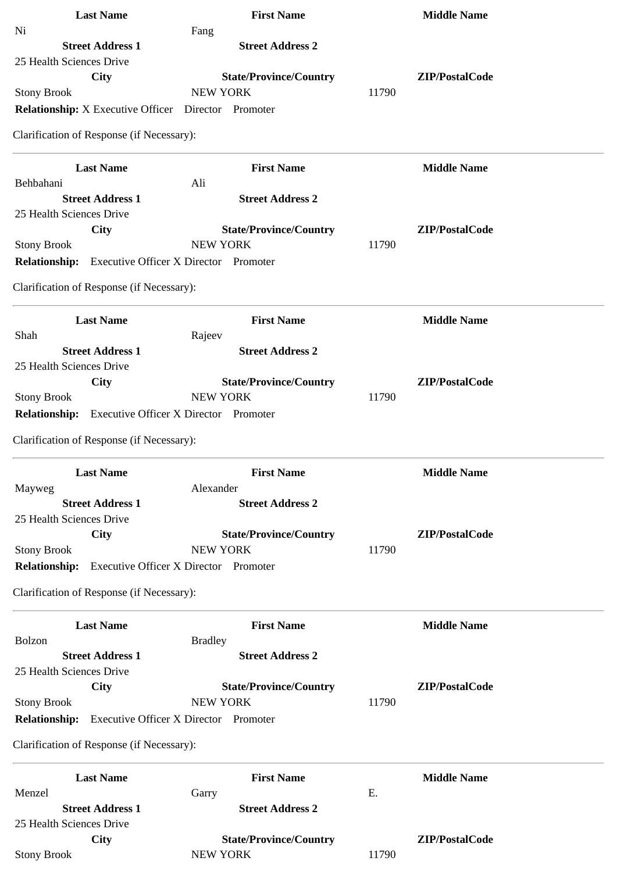| <b>Last Name</b>                                           | <b>First Name</b>                                | <b>Middle Name</b> |
|------------------------------------------------------------|--------------------------------------------------|--------------------|
| Ni                                                         | Fang                                             |                    |
| <b>Street Address 1</b>                                    | <b>Street Address 2</b>                          |                    |
| 25 Health Sciences Drive                                   |                                                  |                    |
| <b>City</b>                                                | <b>State/Province/Country</b>                    | ZIP/PostalCode     |
| <b>Stony Brook</b>                                         | <b>NEW YORK</b>                                  | 11790              |
| <b>Relationship:</b> X Executive Officer Director Promoter |                                                  |                    |
| Clarification of Response (if Necessary):                  |                                                  |                    |
| <b>Last Name</b>                                           | <b>First Name</b>                                | <b>Middle Name</b> |
| Behbahani                                                  | Ali                                              |                    |
| <b>Street Address 1</b>                                    | <b>Street Address 2</b>                          |                    |
| 25 Health Sciences Drive<br><b>City</b>                    |                                                  | ZIP/PostalCode     |
| <b>Stony Brook</b>                                         | <b>State/Province/Country</b><br><b>NEW YORK</b> | 11790              |
| <b>Relationship:</b> Executive Officer X Director Promoter |                                                  |                    |
|                                                            |                                                  |                    |
| Clarification of Response (if Necessary):                  |                                                  |                    |
| <b>Last Name</b>                                           | <b>First Name</b>                                | <b>Middle Name</b> |
| Shah                                                       | Rajeev                                           |                    |
| <b>Street Address 1</b>                                    | <b>Street Address 2</b>                          |                    |
| 25 Health Sciences Drive                                   |                                                  |                    |
| <b>City</b>                                                | <b>State/Province/Country</b>                    | ZIP/PostalCode     |
| <b>Stony Brook</b>                                         | <b>NEW YORK</b>                                  | 11790              |
| <b>Relationship:</b>                                       | <b>Executive Officer X Director Promoter</b>     |                    |
| Clarification of Response (if Necessary):                  |                                                  |                    |
| <b>Last Name</b>                                           | <b>First Name</b>                                | <b>Middle Name</b> |
| Mayweg                                                     | Alexander                                        |                    |
| <b>Street Address 1</b>                                    | <b>Street Address 2</b>                          |                    |
| 25 Health Sciences Drive                                   |                                                  |                    |
| <b>City</b>                                                | <b>State/Province/Country</b>                    | ZIP/PostalCode     |
| <b>Stony Brook</b>                                         | <b>NEW YORK</b>                                  | 11790              |
| <b>Relationship:</b>                                       | <b>Executive Officer X Director Promoter</b>     |                    |
| Clarification of Response (if Necessary):                  |                                                  |                    |
| <b>Last Name</b>                                           | <b>First Name</b>                                | <b>Middle Name</b> |
| Bolzon                                                     | <b>Bradley</b>                                   |                    |
| <b>Street Address 1</b>                                    | <b>Street Address 2</b>                          |                    |
| 25 Health Sciences Drive                                   |                                                  |                    |
| City                                                       | <b>State/Province/Country</b>                    | ZIP/PostalCode     |
| <b>Stony Brook</b>                                         | <b>NEW YORK</b>                                  | 11790              |
| <b>Relationship:</b>                                       | <b>Executive Officer X Director Promoter</b>     |                    |
| Clarification of Response (if Necessary):                  |                                                  |                    |
| <b>Last Name</b>                                           | <b>First Name</b>                                | <b>Middle Name</b> |
| Menzel                                                     | Garry                                            | Ε.                 |
| <b>Street Address 1</b>                                    | <b>Street Address 2</b>                          |                    |
| 25 Health Sciences Drive                                   |                                                  |                    |
| City                                                       | <b>State/Province/Country</b>                    | ZIP/PostalCode     |
| <b>Stony Brook</b>                                         | <b>NEW YORK</b>                                  | 11790              |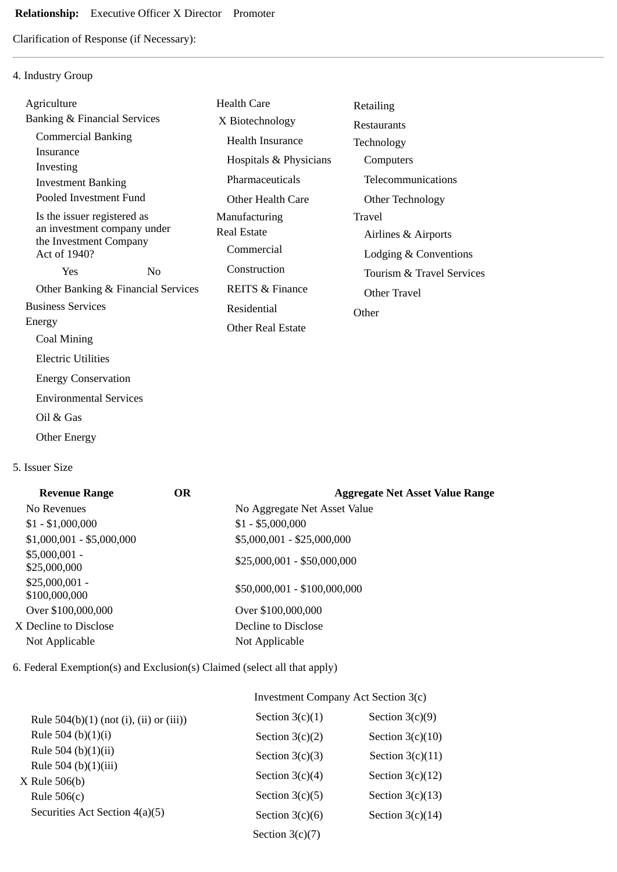## **Relationship:** Executive Officer X Director Promoter

Clarification of Response (if Necessary):

## 4. Industry Group

| Agriculture                                                                                          |                                    | <b>Health Care</b>                                | Retailing                                              |
|------------------------------------------------------------------------------------------------------|------------------------------------|---------------------------------------------------|--------------------------------------------------------|
| <b>Banking &amp; Financial Services</b>                                                              |                                    | X Biotechnology                                   | <b>Restaurants</b>                                     |
| <b>Commercial Banking</b>                                                                            |                                    | <b>Health Insurance</b>                           | Technology                                             |
| Insurance<br>Investing                                                                               |                                    | Hospitals & Physicians                            | Computers                                              |
| <b>Investment Banking</b>                                                                            |                                    | Pharmaceuticals                                   | Telecommunications                                     |
| Pooled Investment Fund                                                                               |                                    | <b>Other Health Care</b>                          | Other Technology                                       |
| Is the issuer registered as<br>an investment company under<br>the Investment Company<br>Act of 1940? |                                    | Manufacturing<br><b>Real Estate</b><br>Commercial | Travel<br>Airlines & Airports<br>Lodging & Conventions |
| Yes                                                                                                  | No                                 | Construction                                      | Tourism & Travel Services                              |
|                                                                                                      | Other Banking & Financial Services | <b>REITS &amp; Finance</b>                        | Other Travel                                           |
| <b>Business Services</b>                                                                             |                                    | Residential                                       | Other                                                  |
| Energy                                                                                               |                                    | <b>Other Real Estate</b>                          |                                                        |
| Coal Mining                                                                                          |                                    |                                                   |                                                        |
| <b>Electric Utilities</b>                                                                            |                                    |                                                   |                                                        |
| <b>Energy Conservation</b>                                                                           |                                    |                                                   |                                                        |
| <b>Environmental Services</b>                                                                        |                                    |                                                   |                                                        |
| Oil & Gas                                                                                            |                                    |                                                   |                                                        |
|                                                                                                      |                                    |                                                   |                                                        |

Other Energy

## 5. Issuer Size

| <b>Revenue Range</b>             | <b>OR</b> | <b>Aggregate Net Asset Value Range</b> |
|----------------------------------|-----------|----------------------------------------|
| No Revenues                      |           | No Aggregate Net Asset Value           |
| $$1 - $1,000,000$                |           | $$1 - $5,000,000$                      |
| $$1,000,001 - $5,000,000$        |           | \$5,000,001 - \$25,000,000             |
| $$5,000,001 -$<br>\$25,000,000   |           | $$25,000,001 - $50,000,000$            |
| $$25,000,001 -$<br>\$100,000,000 |           | \$50,000,001 - \$100,000,000           |
| Over \$100,000,000               |           | Over \$100,000,000                     |
| X Decline to Disclose            |           | Decline to Disclose                    |
| Not Applicable                   |           | Not Applicable                         |
|                                  |           |                                        |

6. Federal Exemption(s) and Exclusion(s) Claimed (select all that apply)

# Investment Company Act Section 3(c)

| Rule $504(b)(1)$ (not (i), (ii) or (iii)) | Section $3(c)(1)$ | Section $3(c)(9)$  |
|-------------------------------------------|-------------------|--------------------|
| Rule 504 (b) $(1)(i)$                     | Section $3(c)(2)$ | Section $3(c)(10)$ |
| Rule 504 (b) $(1)(ii)$                    | Section $3(c)(3)$ | Section $3(c)(11)$ |
| Rule 504 (b)(1)(iii)<br>$X$ Rule 506(b)   | Section $3(c)(4)$ | Section $3(c)(12)$ |
| Rule $506(c)$                             | Section $3(c)(5)$ | Section $3(c)(13)$ |
| Securities Act Section 4(a)(5)            | Section $3(c)(6)$ | Section $3(c)(14)$ |
|                                           | Section $3(c)(7)$ |                    |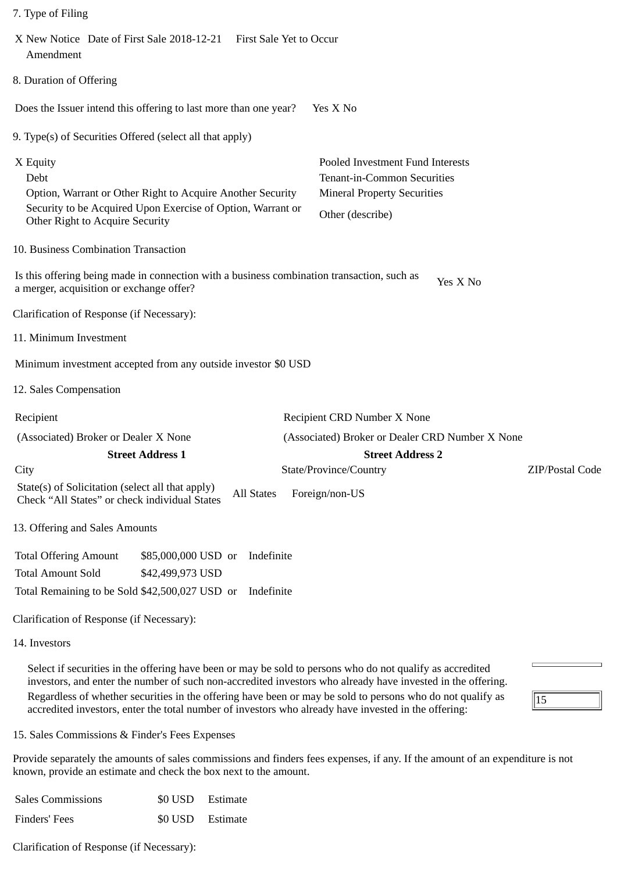| X New Notice Date of First Sale 2018-12-21<br>Amendment                                                                                                                          |                                         | <b>First Sale Yet to Occur</b>                                                                                            |  |                                                 |          |                 |
|----------------------------------------------------------------------------------------------------------------------------------------------------------------------------------|-----------------------------------------|---------------------------------------------------------------------------------------------------------------------------|--|-------------------------------------------------|----------|-----------------|
| 8. Duration of Offering                                                                                                                                                          |                                         |                                                                                                                           |  |                                                 |          |                 |
| Does the Issuer intend this offering to last more than one year?                                                                                                                 |                                         |                                                                                                                           |  | Yes X No                                        |          |                 |
| 9. Type(s) of Securities Offered (select all that apply)                                                                                                                         |                                         |                                                                                                                           |  |                                                 |          |                 |
| X Equity<br>Debt<br>Option, Warrant or Other Right to Acquire Another Security<br>Security to be Acquired Upon Exercise of Option, Warrant or<br>Other Right to Acquire Security |                                         | Pooled Investment Fund Interests<br>Tenant-in-Common Securities<br><b>Mineral Property Securities</b><br>Other (describe) |  |                                                 |          |                 |
| 10. Business Combination Transaction                                                                                                                                             |                                         |                                                                                                                           |  |                                                 |          |                 |
| Is this offering being made in connection with a business combination transaction, such as<br>a merger, acquisition or exchange offer?                                           |                                         |                                                                                                                           |  |                                                 | Yes X No |                 |
| Clarification of Response (if Necessary):                                                                                                                                        |                                         |                                                                                                                           |  |                                                 |          |                 |
| 11. Minimum Investment                                                                                                                                                           |                                         |                                                                                                                           |  |                                                 |          |                 |
| Minimum investment accepted from any outside investor \$0 USD                                                                                                                    |                                         |                                                                                                                           |  |                                                 |          |                 |
| 12. Sales Compensation                                                                                                                                                           |                                         |                                                                                                                           |  |                                                 |          |                 |
| Recipient                                                                                                                                                                        |                                         |                                                                                                                           |  | Recipient CRD Number X None                     |          |                 |
| (Associated) Broker or Dealer X None                                                                                                                                             |                                         |                                                                                                                           |  | (Associated) Broker or Dealer CRD Number X None |          |                 |
|                                                                                                                                                                                  | <b>Street Address 1</b>                 |                                                                                                                           |  | <b>Street Address 2</b>                         |          |                 |
| City<br>State(s) of Solicitation (select all that apply)<br>Check "All States" or check individual States                                                                        |                                         | <b>All States</b>                                                                                                         |  | State/Province/Country<br>Foreign/non-US        |          | ZIP/Postal Code |
| 13. Offering and Sales Amounts                                                                                                                                                   |                                         |                                                                                                                           |  |                                                 |          |                 |
| <b>Total Offering Amount</b><br><b>Total Amount Sold</b><br>Total Remaining to be Sold \$42,500,027 USD or<br>Clarification of Response (if Necessary):                          | \$85,000,000 USD or<br>\$42,499,973 USD | Indefinite<br>Indefinite                                                                                                  |  |                                                 |          |                 |
| 14. Investors                                                                                                                                                                    |                                         |                                                                                                                           |  |                                                 |          |                 |

Select if securities in the offering have been or may be sold to persons who do not qualify as accredited investors, and enter the number of such non-accredited investors who already have invested in the offering. Regardless of whether securities in the offering have been or may be sold to persons who do not qualify as accredited investors, enter the total number of investors who already have invested in the offering:

 $\overline{15}$ 

15. Sales Commissions & Finder's Fees Expenses

7. Type of Filing

Provide separately the amounts of sales commissions and finders fees expenses, if any. If the amount of an expenditure is not known, provide an estimate and check the box next to the amount.

| <b>Sales Commissions</b> | \$0 USD Estimate |
|--------------------------|------------------|
| Finders' Fees            | \$0 USD Estimate |

Clarification of Response (if Necessary):